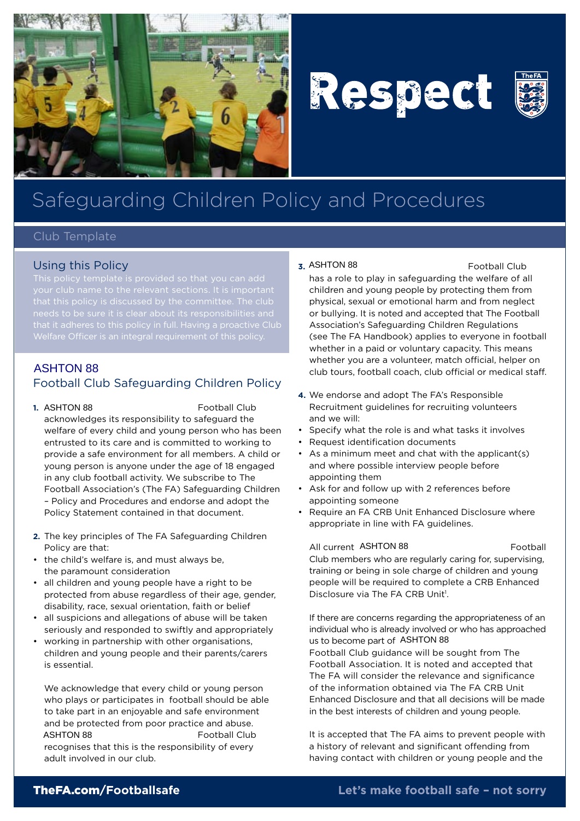





# Safeguarding Children Policy and Procedures

### Club Template

## Using this Policy

This policy template is provided so that you can add

# $\overline{ASHTON 88}$ Football Club Safeguarding Children Policy

#### 1. ASHTON 88

Football Club acknowledges its responsibility to safeguard the welfare of every child and young person who has been entrusted to its care and is committed to working to provide a safe environment for all members. A child or young person is anyone under the age of 18 engaged in any club football activity. We subscribe to The Football Association's (The FA) Safeguarding Children – Policy and Procedures and endorse and adopt the Policy Statement contained in that document. Sing this Policy is the search of the search of the search of the search of the search of the search of the search of the search of the search of the search of the search of the search of the search of the search of the se

- **2.** The key principles of The FA Safeguarding Children Policy are that:
- • the child's welfare is, and must always be, the paramount consideration
- • all children and young people have a right to be protected from abuse regardless of their age, gender, disability, race, sexual orientation, faith or belief
- all suspicions and allegations of abuse will be taken seriously and responded to swiftly and appropriately
- working in partnership with other organisations, children and young people and their parents/carers is essential.

 We acknowledge that every child or young person who plays or participates in football should be able to take part in an enjoyable and safe environment and be protected from poor practice and abuse. xxxxxxxxxxxxxxxxxxxxxxxxxxxxxx Football Club recognises that this is the responsibility of every adult involved in our club.

#### **3.** ASHTON 88 **Example 20** Football Club

has a role to play in safeguarding the welfare of all children and young people by protecting them from physical, sexual or emotional harm and from neglect or bullying. It is noted and accepted that The Football Association's Safeguarding Children Regulations (see The FA Handbook) applies to everyone in football whether in a paid or voluntary capacity. This means whether you are a volunteer, match official, helper on club tours, football coach, club official or medical staff.

- **4.** We endorse and adopt The FA's Responsible Recruitment guidelines for recruiting volunteers and we will:
- • Specify what the role is and what tasks it involves
- Request identification documents
- As a minimum meet and chat with the applicant(s) and where possible interview people before appointing them
- • Ask for and follow up with 2 references before appointing someone
- Require an FA CRB Unit Enhanced Disclosure where appropriate in line with FA guidelines.

#### All current ASHTON 88

Club members who are regularly caring for, supervising, training or being in sole charge of children and young people will be required to complete a CRB Enhanced Disclosure via The FA CRB Unit<sup>1</sup>.

 If there are concerns regarding the appropriateness of an individual who is already involved or who has approached us to become part of ASHTON 88 Football Club guidance will be sought from The Football Association. It is noted and accepted that The FA will consider the relevance and significance of the information obtained via The FA CRB Unit Enhanced Disclosure and that all decisions will be made in the best interests of children and young people.

 It is accepted that The FA aims to prevent people with a history of relevant and significant offending from having contact with children or young people and the

# TheFA.com**/Footballsafe**